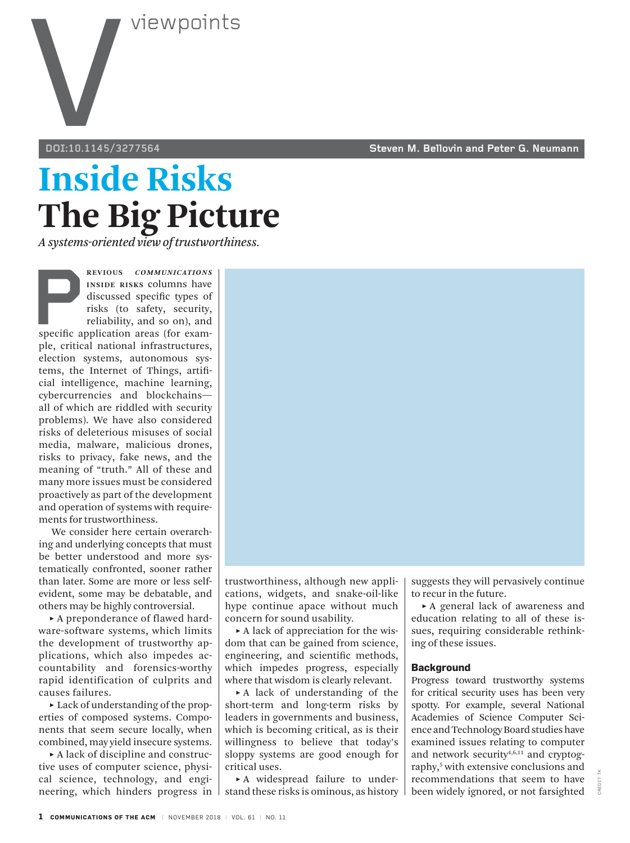

## **Inside Risks The Big Picture**

*A systems-oriented view of trustworthiness.*

**PREVIOUS COMMUNICATIONS**<br> **PREVIOUS**<br> **PREVIOUS**<br> **PREVIOUS**<br> **PREVIOUS**<br> **PREVIOUS**<br> **PREVIOUS**<br> **PREVIOUS**<br> **PREVIOUS**<br> **PREVIOUS**<br> **PREVIOUS**<br> **PREVIOUS**<br> **PREVIOUS**<br> **PREVIOUS**<br> **PREVIOUS**<br> **PREVIOUS**<br> **PREVIOUS**<br> **PR Inside Risks** columns have discussed specific types of risks (to safety, security, reliability, and so on), and ple, critical national infrastructures, election systems, autonomous systems, the Internet of Things, artificial intelligence, machine learning, cybercurrencies and blockchains all of which are riddled with security problems). We have also considered risks of deleterious misuses of social media, malware, malicious drones, risks to privacy, fake news, and the meaning of "truth." All of these and many more issues must be considered proactively as part of the development and operation of systems with requirements for trustworthiness.

We consider here certain overarching and underlying concepts that must be better understood and more systematically confronted, sooner rather than later. Some are more or less selfevident, some may be debatable, and others may be highly controversial.

**˲** A preponderance of flawed hardware-software systems, which limits the development of trustworthy applications, which also impedes accountability and forensics-worthy rapid identification of culprits and causes failures.

**˲** Lack of understanding of the properties of composed systems. Components that seem secure locally, when combined, may yield insecure systems.

**˲** A lack of discipline and constructive uses of computer science, physical science, technology, and engineering, which hinders progress in trustworthiness, although new applications, widgets, and snake-oil-like hype continue apace without much concern for sound usability.

**˲** A lack of appreciation for the wisdom that can be gained from science, engineering, and scientific methods, which impedes progress, especially where that wisdom is clearly relevant.

**˲** A lack of understanding of the short-term and long-term risks by leaders in governments and business, which is becoming critical, as is their willingness to believe that today's sloppy systems are good enough for critical uses.

**˲** A widespread failure to understand these risks is ominous, as history

**doi:10.1145/3277564 Steven M. Bellovin and Peter G. Neumann**

suggests they will pervasively continue to recur in the future.

**˲** A general lack of awareness and education relating to all of these issues, requiring considerable rethinking of these issues.

#### **Background**

Progress toward trustworthy systems for critical security uses has been very spotty. For example, several National Academies of Science Computer Science and Technology Board studies have examined issues relating to computer and network security<sup>4,6,11</sup> and cryptography,<sup>5</sup> with extensive conclusions and recommendations that seem to have been widely ignored, or not farsighted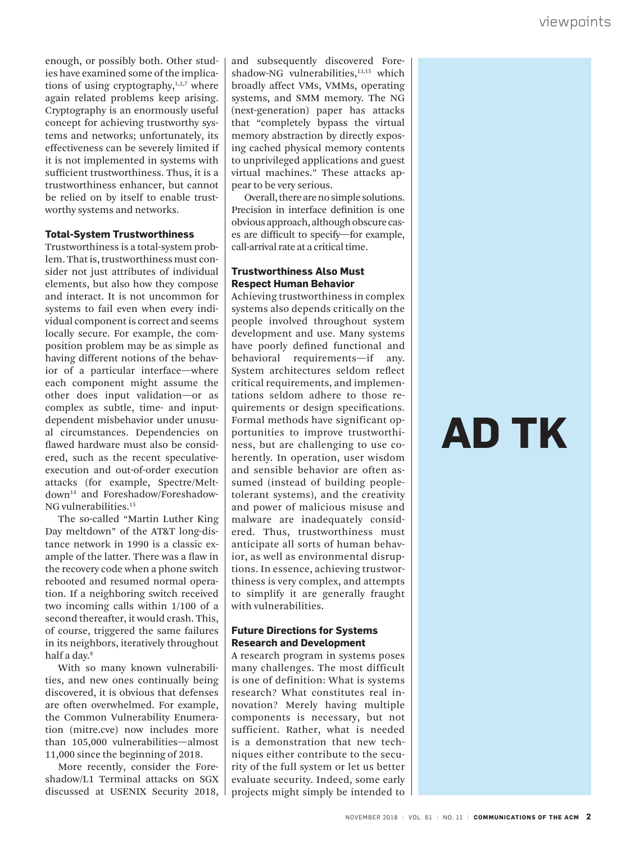viewpoints<br>
enough, or possibly both. Other stud-<br>
is have examined some of the implica-<br>
is have examined some of the implica-<br>
tions of using cryptography,<sup>1,2,7</sup> where<br>
tions of using cryptography,<sup>12,7</sup> where<br>
again re enough, or possibly both. Other studies have examined some of the implications of using cryptography, $1,2,7$  where again related problems keep arising. Cryptography is an enormously useful concept for achieving trustworthy systems and networks; unfortunately, its effectiveness can be severely limited if it is not implemented in systems with sufficient trustworthiness. Thus, it is a trustworthiness enhancer, but cannot be relied on by itself to enable trustworthy systems and networks.

#### **Total-System Trustworthiness**

Trustworthiness is a total-system problem. That is, trustworthiness must consider not just attributes of individual elements, but also how they compose and interact. It is not uncommon for systems to fail even when every individual component is correct and seems locally secure. For example, the composition problem may be as simple as having different notions of the behavior of a particular interface—where each component might assume the other does input validation—or as complex as subtle, time- and inputdependent misbehavior under unusual circumstances. Dependencies on flawed hardware must also be considered, such as the recent speculativeexecution and out-of-order execution attacks (for example, Spectre/Meltdown14 and Foreshadow/Foreshadow-NG vulnerabilities.15

The so-called "Martin Luther King Day meltdown" of the AT&T long-distance network in 1990 is a classic example of the latter. There was a flaw in the recovery code when a phone switch rebooted and resumed normal operation. If a neighboring switch received two incoming calls within 1/100 of a second thereafter, it would crash. This, of course, triggered the same failures in its neighbors, iteratively throughout half a day.<sup>8</sup>

With so many known vulnerabilities, and new ones continually being discovered, it is obvious that defenses are often overwhelmed. For example, the Common Vulnerability Enumeration (mitre.cve) now includes more than 105,000 vulnerabilities—almost 11,000 since the beginning of 2018.

More recently, consider the Foreshadow/L1 Terminal attacks on SGX discussed at USENIX Security 2018, and subsequently discovered Foreshadow-NG vulnerabilities,<sup>13,15</sup> which broadly affect VMs, VMMs, operating systems, and SMM memory. The NG (next-generation) paper has attacks that "completely bypass the virtual memory abstraction by directly exposing cached physical memory contents to unprivileged applications and guest virtual machines." These attacks appear to be very serious.

Overall, there are no simple solutions. Precision in interface definition is one obvious approach, although obscure cases are difficult to specify—for example, call-arrival rate at a critical time.

#### **Trustworthiness Also Must Respect Human Behavior**

Achieving trustworthiness in complex systems also depends critically on the people involved throughout system development and use. Many systems have poorly defined functional and behavioral requirements—if any. System architectures seldom reflect critical requirements, and implementations seldom adhere to those requirements or design specifications. Formal methods have significant opportunities to improve trustworthiness, but are challenging to use coherently. In operation, user wisdom and sensible behavior are often assumed (instead of building peopletolerant systems), and the creativity and power of malicious misuse and malware are inadequately considered. Thus, trustworthiness must anticipate all sorts of human behavior, as well as environmental disruptions. In essence, achieving trustworthiness is very complex, and attempts to simplify it are generally fraught with vulnerabilities.

#### **Future Directions for Systems Research and Development**

A research program in systems poses many challenges. The most difficult is one of definition: What is systems research? What constitutes real innovation? Merely having multiple components is necessary, but not sufficient. Rather, what is needed is a demonstration that new techniques either contribute to the security of the full system or let us better evaluate security. Indeed, some early projects might simply be intended to

# **AD TK**